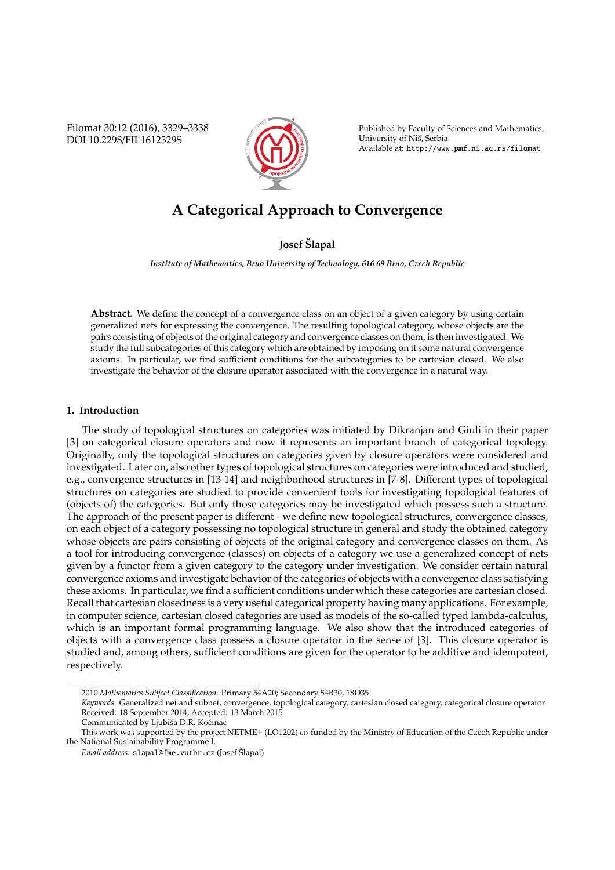Filomat 30:12 (2016), 3329–3338 DOI 10.2298/FIL1612329S



Published by Faculty of Sciences and Mathematics, University of Niš, Serbia Available at: http://www.pmf.ni.ac.rs/filomat

# **A Categorical Approach to Convergence**

# **Josef Slapal ˇ**

*Institute of Mathematics, Brno University of Technology, 616 69 Brno, Czech Republic*

**Abstract.** We define the concept of a convergence class on an object of a given category by using certain generalized nets for expressing the convergence. The resulting topological category, whose objects are the pairs consisting of objects of the original category and convergence classes on them, is then investigated. We study the full subcategories of this category which are obtained by imposing on it some natural convergence axioms. In particular, we find sufficient conditions for the subcategories to be cartesian closed. We also investigate the behavior of the closure operator associated with the convergence in a natural way.

### **1. Introduction**

The study of topological structures on categories was initiated by Dikranjan and Giuli in their paper [3] on categorical closure operators and now it represents an important branch of categorical topology. Originally, only the topological structures on categories given by closure operators were considered and investigated. Later on, also other types of topological structures on categories were introduced and studied, e.g., convergence structures in [13-14] and neighborhood structures in [7-8]. Different types of topological structures on categories are studied to provide convenient tools for investigating topological features of (objects of) the categories. But only those categories may be investigated which possess such a structure. The approach of the present paper is different - we define new topological structures, convergence classes, on each object of a category possessing no topological structure in general and study the obtained category whose objects are pairs consisting of objects of the original category and convergence classes on them. As a tool for introducing convergence (classes) on objects of a category we use a generalized concept of nets given by a functor from a given category to the category under investigation. We consider certain natural convergence axioms and investigate behavior of the categories of objects with a convergence class satisfying these axioms. In particular, we find a sufficient conditions under which these categories are cartesian closed. Recall that cartesian closedness is a very useful categorical property having many applications. For example, in computer science, cartesian closed categories are used as models of the so-called typed lambda-calculus, which is an important formal programming language. We also show that the introduced categories of objects with a convergence class possess a closure operator in the sense of [3]. This closure operator is studied and, among others, sufficient conditions are given for the operator to be additive and idempotent, respectively.

<sup>2010</sup> *Mathematics Subject Classification*. Primary 54A20; Secondary 54B30, 18D35

*Keywords*. Generalized net and subnet, convergence, topological category, cartesian closed category, categorical closure operator Received: 18 September 2014; Accepted: 13 March 2015

Communicated by Ljubiša D.R. Kočinac

This work was supported by the project NETME+ (LO1202) co-funded by the Ministry of Education of the Czech Republic under the National Sustainability Programme I.

Email address: slapal@fme.vutbr.cz (Josef Šlapal)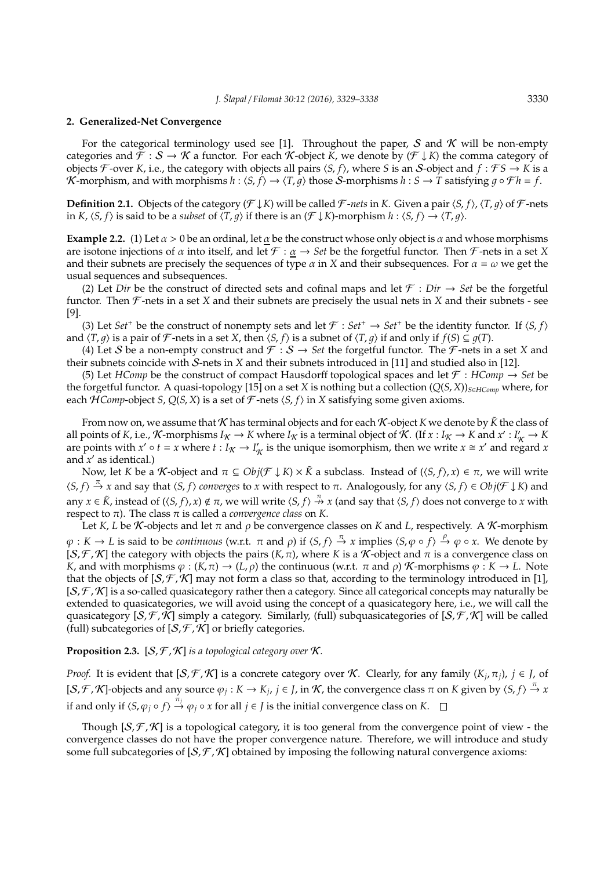#### **2. Generalized-Net Convergence**

For the categorical terminology used see [1]. Throughout the paper, S and K will be non-empty categories and  $\mathcal{F}: \mathcal{S} \to \mathcal{K}$  a functor. For each K-object *K*, we denote by  $(\mathcal{F} \downarrow K)$  the comma category of objects  $\mathcal{F}$ -over *K*, i.e., the category with objects all pairs  $\langle S, f \rangle$ , where *S* is an *S*-object and  $f : \mathcal{F}S \to K$  is a K-morphism, and with morphisms  $h : \langle S, f \rangle \to \langle T, g \rangle$  those S-morphisms  $h : S \to T$  satisfying  $g \circ \mathcal{F} h = f$ .

**Definition 2.1.** Objects of the category  $(F \downarrow K)$  will be called F-nets in *K*. Given a pair  $\langle S, f \rangle$ ,  $\langle T, q \rangle$  of F-nets in *K*,  $\langle S, f \rangle$  is said to be a *subset* of  $\langle T, g \rangle$  if there is an  $(\mathcal{F} \downarrow K)$ -morphism  $h : \langle S, f \rangle \rightarrow \langle T, g \rangle$ .

**Example 2.2.** (1) Let  $\alpha > 0$  be an ordinal, let  $\underline{\alpha}$  be the construct whose only object is  $\alpha$  and whose morphisms are isotone injections of  $\alpha$  into itself, and let  $\mathcal{F} : \alpha \to \mathcal{S}et$  be the forgetful functor. Then  $\mathcal{F}$ -nets in a set *X* and their subnets are precisely the sequences of type  $\alpha$  in *X* and their subsequences. For  $\alpha = \omega$  we get the usual sequences and subsequences.

(2) Let *Dir* be the construct of directed sets and cofinal maps and let  $\mathcal{F}: Dir \to Set$  be the forgetful functor. Then  $\mathcal F$ -nets in a set *X* and their subnets are precisely the usual nets in *X* and their subnets - see [9].

(3) Let *Set*<sup>+</sup> be the construct of nonempty sets and let  $\mathcal{F}: Set^+ \to Set^+$  be the identity functor. If  $\langle S, f \rangle$ and  $\langle T, q \rangle$  is a pair of *F*-nets in a set *X*, then  $\langle S, f \rangle$  is a subnet of  $\langle T, q \rangle$  if and only if  $f(S) \subseteq g(T)$ .

(4) Let S be a non-empty construct and  $\mathcal{F}: \mathcal{S} \to \mathcal{S}et$  the forgetful functor. The  $\mathcal{F}$ -nets in a set X and their subnets coincide with S-nets in *X* and their subnets introduced in [11] and studied also in [12].

(5) Let *HComp* be the construct of compact Hausdorff topological spaces and let  $\mathcal{F}$  : *HComp*  $\rightarrow$  *Set* be the forgetful functor. A quasi-topology [15] on a set *X* is nothing but a collection  $(Q(S, X))_{S \in HComp}$  where, for each  $HComp\text{-object } S, Q(S, X)$  is a set of  $\mathcal F\text{-nets } \langle S, f \rangle$  in  $X$  satisfying some given axioms.

From now on, we assume that  $K$  has terminal objects and for each  $K$ -object  $K$  we denote by  $\tilde{K}$  the class of all points of *K*, i.e., *K*-morphisms  $I_K \to K$  where  $I_K$  is a terminal object of  $K$ . (If  $x : I_K \to K$  and  $x' : I_K' \to K$ are points with  $x' \circ t = x$  where  $t : I_{\mathcal{K}} \to I'_{\mathcal{K}}$  is the unique isomorphism, then we write  $x \cong x'$  and regard  $x$ and  $x'$  as identical.)

Now, let *K* be a *K*-object and  $\pi \subseteq Obj(\mathcal{F} \downarrow K) \times \tilde{K}$  a subclass. Instead of  $(\langle S, f \rangle, x) \in \pi$ , we will write  $\langle S, f \rangle \stackrel{\pi}{\to} x$  and say that  $\langle S, f \rangle$  *converges* to *x* with respect to  $\pi$ . Analogously, for any  $\langle S, f \rangle \in Obj(\mathcal{F} \downarrow K)$  and any  $x \in \tilde{K}$ , instead of  $(\langle S, f \rangle, x) \notin \pi$ , we will write  $\langle S, f \rangle \stackrel{\pi}{\to} x$  (and say that  $\langle S, f \rangle$  does not converge to *x* with respect to π). The class π is called a *convergence class* on *K*.

Let *K*, *L* be *K*-objects and let  $\pi$  and  $\rho$  be convergence classes on *K* and *L*, respectively. A *K*-morphism  $\varphi: K \to L$  is said to be *continuous* (w.r.t.  $\pi$  and  $\rho$ ) if  $\langle S, f \rangle \stackrel{\pi}{\to} x$  implies  $\langle S, \varphi \circ f \rangle \stackrel{\rho}{\to} \varphi \circ x$ . We denote by  $[S, \mathcal{F}, \mathcal{K}]$  the category with objects the pairs  $(K, \pi)$ , where *K* is a  $\mathcal{K}$ -object and  $\pi$  is a convergence class on *K*, and with morphisms  $\varphi : (K, \pi) \to (L, \rho)$  the continuous (w.r.t.  $\pi$  and  $\rho$ ) *K*-morphisms  $\varphi : K \to L$ . Note that the objects of  $[S, \mathcal{F}, \mathcal{K}]$  may not form a class so that, according to the terminology introduced in [1],  $[S, \mathcal{F}, \mathcal{K}]$  is a so-called quasicategory rather then a category. Since all categorical concepts may naturally be extended to quasicategories, we will avoid using the concept of a quasicategory here, i.e., we will call the quasicategory  $[S, \mathcal{F}, \mathcal{K}]$  simply a category. Similarly, (full) subquasicategories of  $[S, \mathcal{F}, \mathcal{K}]$  will be called (full) subcategories of  $[S, \mathcal{F}, \mathcal{K}]$  or briefly categories.

## **Proposition 2.3.**  $[S, \mathcal{F}, \mathcal{K}]$  *is a topological category over*  $\mathcal{K}$ *.*

*Proof.* It is evident that  $[S, \mathcal{F}, \mathcal{K}]$  is a concrete category over K. Clearly, for any family  $(K_i, \pi_j)$ ,  $j \in J$ , of  $[S, \mathcal{F}, \mathcal{K}]$ -objects and any source  $\varphi_j : K \to K_j$ ,  $j \in J$ , in  $\mathcal{K}$ , the convergence class  $\pi$  on  $K$  given by  $\langle S, f \rangle \stackrel{\pi}{\to} x$ if and only if  $\langle S, \varphi_j \circ f \rangle \stackrel{\pi_j}{\rightarrow} \varphi_j \circ x$  for all  $j \in J$  is the initial convergence class on *K*.

Though  $[S, \mathcal{F}, \mathcal{K}]$  is a topological category, it is too general from the convergence point of view - the convergence classes do not have the proper convergence nature. Therefore, we will introduce and study some full subcategories of  $[\mathcal{S}, \mathcal{F}, \mathcal{K}]$  obtained by imposing the following natural convergence axioms: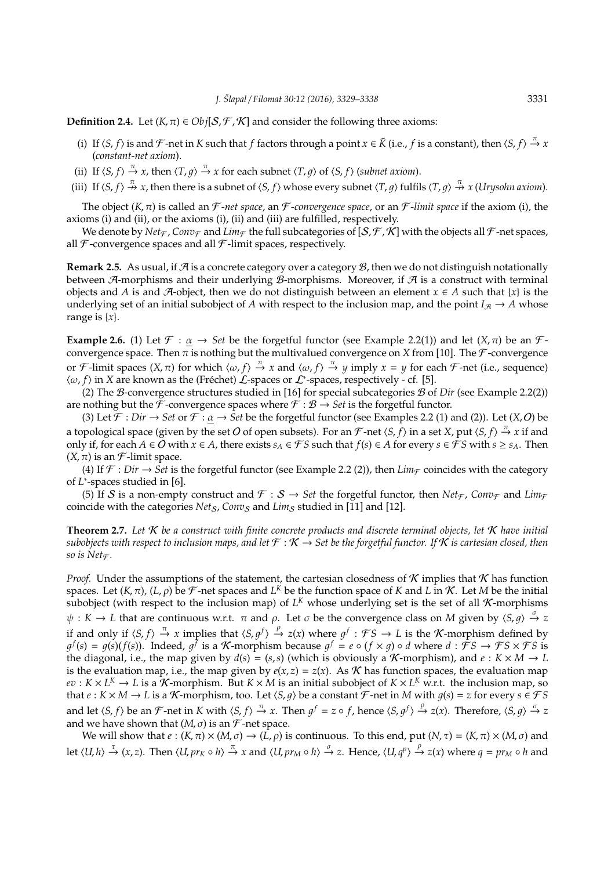**Definition 2.4.** Let  $(K, \pi) \in Ob_j[S, \mathcal{F}, \mathcal{K}]$  and consider the following three axioms:

- (i) If  $\langle S, f \rangle$  is and  $\mathcal F$ -net in  $K$  such that  $f$  factors through a point  $x \in \tilde{K}$  (i.e.,  $f$  is a constant), then  $\langle S, f \rangle \stackrel{\pi}{\to} x$ (*constant-net axiom*).
- (ii) If  $\langle S, f \rangle \stackrel{\pi}{\to} x$ , then  $\langle T, g \rangle \stackrel{\pi}{\to} x$  for each subnet  $\langle T, g \rangle$  of  $\langle S, f \rangle$  (*subnet axiom*).
- (iii) If  $\langle S, f \rangle \stackrel{\pi}{\nrightarrow} x$ , then there is a subnet of  $\langle S, f \rangle$  whose every subnet  $\langle T, g \rangle$  fulfils  $\langle T, g \rangle \stackrel{\pi}{\nrightarrow} x$  (*Urysohn axiom*).

The object (*K*, π) is called an F -*net space*, an F -*convergence space*, or an F -*limit space* if the axiom (i), the axioms (i) and (ii), or the axioms (i), (ii) and (iii) are fulfilled, respectively.

We denote by  $Net_{\mathcal{F}}$ , *Conv*<sub>F</sub> and *Lim*<sub>F</sub> the full subcategories of [S,  $\mathcal{F}$ ,  $\mathcal{K}$ ] with the objects all  $\mathcal{F}$ -net spaces, all  $\mathcal F$ -convergence spaces and all  $\mathcal F$ -limit spaces, respectively.

**Remark 2.5.** As usual, if  $\mathcal{A}$  is a concrete category over a category  $\mathcal{B}$ , then we do not distinguish notationally between  $\mathcal{A}$ -morphisms and their underlying  $\mathcal{B}$ -morphisms. Moreover, if  $\mathcal{A}$  is a construct with terminal objects and *A* is and *A*-object, then we do not distinguish between an element  $x \in A$  such that  $\{x\}$  is the underlying set of an initial subobject of *A* with respect to the inclusion map, and the point  $I_{\mathcal{A}} \to A$  whose range is  $\{x\}$ .

**Example 2.6.** (1) Let  $\mathcal{F} : \alpha \to \mathcal{S}et$  be the forgetful functor (see Example 2.2(1)) and let  $(X, \pi)$  be an  $\mathcal{F}$ convergence space. Then  $\pi$  is nothing but the multivalued convergence on *X* from [10]. The  $\mathcal F$ -convergence or *F*-limit spaces  $(X, \pi)$  for which  $\langle \omega, f \rangle \stackrel{\pi}{\to} x$  and  $\langle \omega, f \rangle \stackrel{\pi}{\to} y$  imply  $x = y$  for each *F*-net (i.e., sequence)  $\langle \omega, f \rangle$  in *X* are known as the (Fréchet)  $\mathcal L$ -spaces or  $\mathcal L^*$ -spaces, respectively - cf. [5].

(2) The B-convergence structures studied in [16] for special subcategories B of *Dir* (see Example 2.2(2)) are nothing but the  $\tilde{\mathcal{F}}$ -convergence spaces where  $\mathcal{F} : \mathcal{B} \to \mathcal{S}et$  is the forgetful functor.

(3) Let  $\mathcal{F}: Dir \to Set$  or  $\mathcal{F}: \alpha \to Set$  be the forgetful functor (see Examples 2.2 (1) and (2)). Let  $(X, O)$  be a topological space (given by the set  $O$  of open subsets). For an  $\mathcal F$ -net  $\langle S,f\rangle$  in a set  $X$ , put  $\langle S,f\rangle\stackrel{\pi}{\to}x$  if and only if, for each *A* ∈ *O* with  $x \in A$ , there exists  $s_A \in \mathcal{FS}$  such that  $f(s) \in A$  for every  $s \in \mathcal{FS}$  with  $s \geq s_A$ . Then  $(X, \pi)$  is an *F*-limit space.

(4) If  $\mathcal{F}: Dir \to Set$  is the forgetful functor (see Example 2.2 (2)), then  $Lim_{\mathcal{F}}$  coincides with the category of *L*<sup>\*</sup>-spaces studied in [6].

(5) If S is a non-empty construct and  $\mathcal{F}: S \to Set$  the forgetful functor, then  $Net_{\mathcal{F}}$ ,  $Conv_{\mathcal{F}}$  and  $Lim_{\mathcal{F}}$ coincide with the categories *Net<sub>S</sub>*, *Conv<sub>S</sub>* and *Lim<sub>S</sub>* studied in [11] and [12].

**Theorem 2.7.** *Let* K *be a construct with finite concrete products and discrete terminal objects, let* K *have initial subobjects with respect to inclusion maps, and let*  $\mathcal{F} : \mathcal{K} \to \mathcal{S}$ et be the forgetful functor. If  $\mathcal{K}$  is cartesian closed, then *so is Net* $\in$ *.* 

*Proof.* Under the assumptions of the statement, the cartesian closedness of  $K$  implies that  $K$  has function spaces. Let  $(K, \pi)$ ,  $(L, \rho)$  be  $\mathcal F$ -net spaces and  $L^K$  be the function space of  $K$  and  $L$  in  $\mathcal K$ . Let  $M$  be the initial subobject (with respect to the inclusion map) of  $L<sup>K</sup>$  whose underlying set is the set of all  $K$ -morphisms  $\psi: K \to L$  that are continuous w.r.t.  $\pi$  and  $\rho$ . Let  $\sigma$  be the convergence class on M given by  $\langle S, g \rangle \stackrel{\sigma}{\to} z$ if and only if  $\langle S, f \rangle \stackrel{\pi}{\to} x$  implies that  $\langle S, g^f \rangle \stackrel{\rho}{\to} z(x)$  where  $g^f : \mathcal{FS} \to L$  is the K-morphism defined by  $g^f(s) = g(s)(f(s))$ . Indeed,  $g^f$  is a K-morphism because  $g^f = e \circ (f \times g) \circ d$  where  $d : \hat{\mathcal{F}}S \to \mathcal{F}S \times \mathcal{F}S$  is the diagonal, i.e., the map given by  $d(s) = (s, s)$  (which is obviously a K-morphism), and  $e : K \times M \to L$ is the evaluation map, i.e., the map given by  $e(x, z) = z(x)$ . As *K* has function spaces, the evaluation map  $ev: K \times L^K \to L$  is a  $\overline{K}$ -morphism. But  $K \times M$  is an initial subobject of  $K \times L^K$  w.r.t. the inclusion map, so that  $e: K \times M \to L$  is a K-morphism, too. Let  $\langle S, q \rangle$  be a constant  $\mathcal{F}$ -net in *M* with  $q(s) = z$  for every  $s \in \mathcal{F}S$ and let  $\langle S, f \rangle$  be an *F*-net in *K* with  $\langle S, f \rangle \stackrel{\pi}{\to} x$ . Then  $g^f = z \circ f$ , hence  $\langle S, g^f \rangle \stackrel{\rho}{\to} z(x)$ . Therefore,  $\langle S, g \rangle \stackrel{\sigma}{\to} z$ and we have shown that  $(M, \sigma)$  is an  $\mathcal{F}$ -net space.

We will show that  $e:(K,\pi)\times(M,\sigma)\to(\hat{L},\rho)$  is continuous. To this end, put  $(N,\tau)=(K,\pi)\times(M,\sigma)$  and let  $\langle U,h\rangle \stackrel{\tau}{\to} (x,z)$ . Then  $\langle U,pr_K\circ h\rangle \stackrel{\pi}{\to} x$  and  $\langle U,pr_M\circ h\rangle \stackrel{\sigma}{\to} z$ . Hence,  $\langle U,q^p\rangle \stackrel{\rho}{\to} z(x)$  where  $q=pr_M\circ h$  and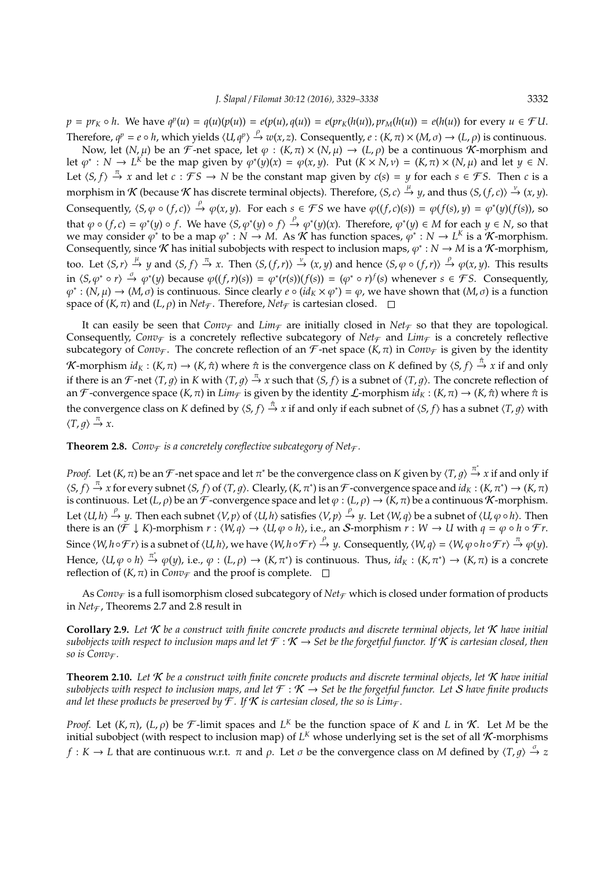$p = pr_K \circ h$ . We have  $q^p(u) = q(u)(p(u)) = e(p(u), q(u)) = e(pr_K(h(u)), pr_M(h(u)) = e(h(u))$  for every  $u \in \mathcal{F}U$ . Therefore,  $q^p = e \circ h$ , which yields  $\langle U, q^p \rangle \stackrel{\rho}{\to} w(x, z)$ . Consequently,  $e : (K, \pi) \times (M, \sigma) \to (L, \rho)$  is continuous.

Now, let  $(N, \mu)$  be an F-net space, let  $\varphi : (K, \pi) \times (N, \mu) \to (L, \rho)$  be a continuous K-morphism and let  $\varphi^* : N \to L^K$  be the map given by  $\varphi^*(y)(x) = \varphi(x, y)$ . Put  $(K \times N, v) = (K, \pi) \times (N, \mu)$  and let  $y \in N$ . Let  $\langle S, f \rangle \stackrel{\pi}{\to} x$  and let  $c : \mathcal{FS} \to N$  be the constant map given by  $c(s) = y$  for each  $s \in \mathcal{FS}$ . Then *c* is a  $\pi$  morphism in  $K$  (because  $K$  has discrete terminal objects). Therefore,  $\langle S, c \rangle \stackrel{\mu}{\to} y$ , and thus  $\langle S, (f, c) \rangle \stackrel{\nu}{\to} (x, y)$ . Consequently,  $\langle S, \varphi \circ (f, c) \rangle \stackrel{\rho}{\to} \varphi(x, y)$ . For each  $s \in \mathcal{FS}$  we have  $\varphi((f, c)(s)) = \varphi(f(s), y) = \varphi^*(y)(f(s))$ , so that  $\varphi \circ (f, c) = \varphi^*(y) \circ f$ . We have  $\langle S, \varphi^*(y) \circ f \rangle \stackrel{\rho}{\to} \varphi^*(y)(x)$ . Therefore,  $\varphi^*(y) \in M$  for each  $y \in N$ , so that we may consider  $\varphi^*$  to be a map  $\varphi^*: N \to M$ . As K has function spaces,  $\varphi^*: N \to L^K$  is a K-morphism. Consequently, since  $K$  has initial subobjects with respect to inclusion maps,  $\varphi^*: N \to M$  is a  $K$ -morphism, too. Let  $\langle S, r \rangle \stackrel{\mu}{\to} y$  and  $\langle S, f \rangle \stackrel{\pi}{\to} x$ . Then  $\langle S, (f, r) \rangle \stackrel{\nu}{\to} (x, y)$  and hence  $\langle S, \varphi \circ (f, r) \rangle \stackrel{\rho}{\to} \varphi(x, y)$ . This results in  $\langle S, \varphi^* \circ r \rangle \stackrel{\sigma}{\to} \varphi^*(y)$  because  $\varphi((f, r)(s)) = \varphi^*(r(s))(f(s)) = (\varphi^* \circ r)^f(s)$  whenever  $s \in \mathcal{FS}$ . Consequently,  $\varphi^*: (N, \mu) \to (M, \sigma)$  is continuous. Since clearly  $e \circ (id_K \times \varphi^*) = \varphi$ , we have shown that  $(M, \sigma)$  is a function space of  $(K, \pi)$  and  $(L, \rho)$  in  $Net_{\mathcal{F}}$ . Therefore,  $Net_{\mathcal{F}}$  is cartesian closed.  $\square$ 

It can easily be seen that  $Conv_{\mathcal{F}}$  and  $Lim_{\mathcal{F}}$  are initially closed in  $Net_{\mathcal{F}}$  so that they are topological. Consequently, *Conv*<sub>F</sub> is a concretely reflective subcategory of *Net*<sub>F</sub> and *Lim*<sub>F</sub> is a concretely reflective subcategory of *Conv<sub>F</sub>*. The concrete reflection of an *F*-net space (*K*,  $\pi$ ) in *Conv<sub>F</sub>* is given by the identity  $\mathcal K$ -morphism  $id_K:(K,\pi)\to (K,\hat\pi)$  where  $\hat\pi$  is the convergence class on  $K$  defined by  $\langle S,f\rangle\stackrel{\hat\pi}{\to}x$  if and only if there is an  $\mathcal F$ -net  $\langle T, g \rangle$  in  $K$  with  $\langle T, g \rangle \stackrel{\pi}{\to} x$  such that  $\langle S, f \rangle$  is a subnet of  $\langle T, g \rangle$ . The concrete reflection of an F-convergence space  $(K, \pi)$  in  $Lim_{\mathcal{F}}$  is given by the identity  $\mathcal{L}$ -morphism  $id_K : (K, \pi) \to (K, \hat{\pi})$  where  $\hat{\pi}$  is the convergence class on *K* defined by  $\langle S, f \rangle \stackrel{\hat{\pi}}{\to} x$  if and only if each subnet of  $\langle S, f \rangle$  has a subnet  $\langle T, g \rangle$  with  $\langle T, g \rangle \stackrel{\pi}{\rightarrow} x.$ 

**Theorem 2.8.** *Conv* $\epsilon$  *is a concretely coreflective subcategory of Net* $\epsilon$ *.* 

*Proof.* Let  $(K, \pi)$  be an  $\mathcal F$ -net space and let  $\pi^*$  be the convergence class on  $K$  given by  $\langle T, g \rangle \stackrel{\pi^*}{\to} x$  if and only if  $\langle S, f \rangle \stackrel{\pi}{\to} x$  for every subnet  $\langle S, f \rangle$  of  $\langle T, g \rangle$ . Clearly,  $(K, \pi^*)$  is an F-convergence space and  $id_K : (K, \pi^*) \to (K, \pi)$ is continuous. Let  $(L, \rho)$  be an  $\mathcal F$ -convergence space and let  $\varphi : (L, \rho) \to (K, \pi)$  be a continuous K-morphism. Let  $\langle U, h \rangle \stackrel{\rho}{\to} y$ . Then each subnet  $\langle V, p \rangle$  of  $\langle U, h \rangle$  satisfies  $\langle V, p \rangle \stackrel{\rho}{\to} y$ . Let  $\langle W, q \rangle$  be a subnet of  $\langle U, \varphi \circ h \rangle$ . Then there is an  $(\mathcal{F} \downarrow K)$ -morphism  $r : \langle W, q \rangle \to \langle U, \varphi \circ h \rangle$ , i.e., an S-morphism  $r : W \to U$  with  $q = \varphi \circ h \circ \mathcal{F}r$ . Since  $\langle W, h \circ F r \rangle$  is a subnet of  $\langle U, h \rangle$ , we have  $\langle W, h \circ F r \rangle \xrightarrow{\rho} y$ . Consequently,  $\langle W, q \rangle = \langle W, \varphi \circ h \circ F r \rangle \xrightarrow{\pi} \varphi(y)$ . Hence,  $\langle U, \varphi \circ h \rangle \stackrel{\pi^*}{\to} \varphi(y)$ , i.e.,  $\varphi : (L, \rho) \to (K, \pi^*)$  is continuous. Thus,  $id_K : (K, \pi^*) \to (K, \pi)$  is a concrete reflection of  $(K, \pi)$  in *Conv*<sub>F</sub> and the proof is complete.  $\Box$ 

As *Conv<sub>F</sub>* is a full isomorphism closed subcategory of *Net*<sub>F</sub> which is closed under formation of products in  $Net_{\mathcal{F}}$ , Theorems 2.7 and 2.8 result in

**Corollary 2.9.** *Let* K *be a construct with finite concrete products and discrete terminal objects, let* K *have initial subobjects with respect to inclusion maps and let*  $\mathcal{F}: K \to Set$  be the forgetful functor. If K is cartesian closed, then *so is Conv* $\tau$ *.* 

**Theorem 2.10.** *Let* K *be a construct with finite concrete products and discrete terminal objects, let* K *have initial subobjects with respect to inclusion maps, and let*  $\mathcal{F}: \mathcal{K} \to \mathcal{S}$ *et be the forgetful functor. Let* S *have finite products and let these products be preserved by*  $\mathcal{F}$ *. If*  $\mathcal{K}$  *is cartesian closed, the so is Lim* $\mathcal{F}$ *.* 

*Proof.* Let  $(K, \pi)$ ,  $(L, \rho)$  be  $\mathcal{F}$ -limit spaces and  $L^K$  be the function space of K and L in K. Let M be the initial subobject (with respect to inclusion map) of  $L<sup>K</sup>$  whose underlying set is the set of all  $K$ -morphisms *f* : *K*  $\rightarrow$  *L* that are continuous w.r.t.  $\pi$  and  $\rho$ . Let  $\sigma$  be the convergence class on *M* defined by  $\langle T, g \rangle \stackrel{\sigma}{\rightarrow} z$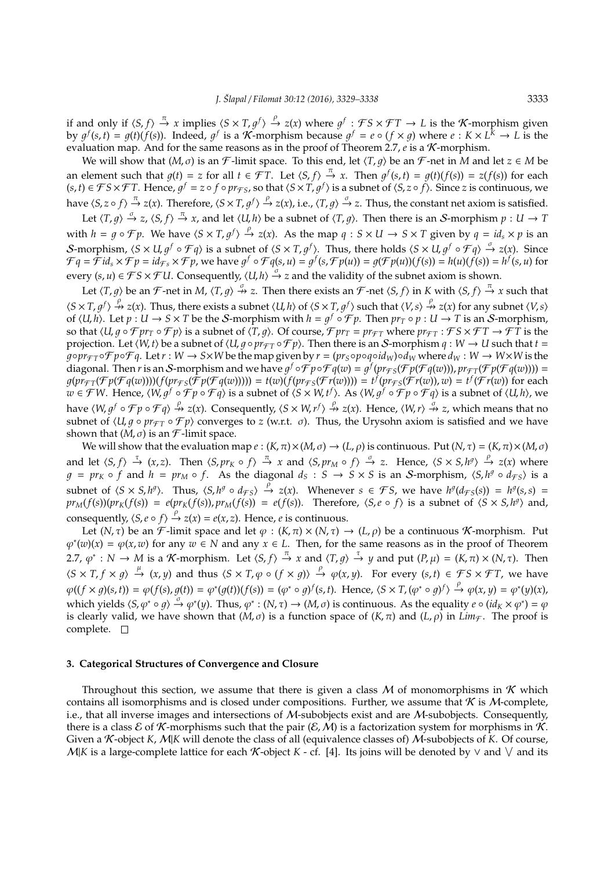if and only if  $\langle S, f \rangle \stackrel{\pi}{\to} x$  implies  $\langle S \times T, g^f \rangle \stackrel{\rho}{\to} z(x)$  where  $g^f : \mathcal{FS} \times \mathcal{FT} \to L$  is the K-morphism given by  $g^f(s,t) = g(t)(f(s))$ . Indeed,  $g^f$  is a K-morphism because  $g^f = e \circ (f \times g)$  where  $e: K \times L^{\tilde{k}} \to L$  is the evaluation map. And for the same reasons as in the proof of Theorem 2.7,  $e$  is a  $K$ -morphism.

We will show that  $(M, \sigma)$  is an F-limit space. To this end, let  $\langle T, g \rangle$  be an F-net in *M* and let  $z \in M$  be an element such that  $g(t) = z$  for all  $t \in \mathcal{FT}$ . Let  $\langle S, f \rangle \stackrel{\pi}{\to} x$ . Then  $g^f(s, t) = g(t)(f(s)) = z(f(s))$  for each  $(s,t) \in \mathcal{FS} \times \mathcal{FT}$ . Hence,  $g^f = z \circ f \circ pr_{\mathcal{FS}}$ , so that  $\langle S \times T, g^f \rangle$  is a subnet of  $\langle S, z \circ f \rangle$ . Since z is continuous, we have  $\langle S, z \circ f \rangle \stackrel{\pi}{\to} z(x)$ . Therefore,  $\langle S \times T, g^f \rangle \stackrel{\rho}{\to} z(x)$ , i.e.,  $\langle T, g \rangle \stackrel{\sigma}{\to} z$ . Thus, the constant net axiom is satisfied.

Let  $\langle T, g \rangle \stackrel{\sigma}{\to} z$ ,  $\langle S, f \rangle \stackrel{\pi}{\to} x$ , and let  $\langle U, h \rangle$  be a subnet of  $\langle T, g \rangle$ . Then there is an S-morphism  $p : U \to T$ with  $h = g \circ \mathcal{F}p$ . We have  $\langle S \times T, g^f \rangle \stackrel{\rho}{\to} z(x)$ . As the map  $q : S \times U \to S \times T$  given by  $q = id_s \times p$  is an S-morphism,  $\langle S \times U, g^f \circ \mathcal{F} q \rangle$  is a subnet of  $\langle S \times T, g^f \rangle$ . Thus, there holds  $\langle S \times U, g^f \circ \mathcal{F} q \rangle \stackrel{\sigma}{\rightarrow} z(x)$ . Since  $\mathcal{F}q = \tilde{\mathcal{F}}id_s \times \mathcal{F}p = id_{\mathcal{F}s} \times \mathcal{F}p$ , we have  $g^f \circ \mathcal{F}q(s, u) = g^f(s, \mathcal{F}p(u)) = g(\mathcal{F}p(u))(f(s)) = h(u)(f(s)) = h^f(s, u)$  for every  $(s, u) \in \mathcal{FS} \times \mathcal{F}U$ . Consequently,  $\langle U, h \rangle \stackrel{\sigma}{\to} z$  and the validity of the subnet axiom is shown.

Let  $\langle T, g \rangle$  be an F-net in *M*,  $\langle T, g \rangle \stackrel{\sigma}{\to} z$ . Then there exists an F-net  $\langle S, f \rangle$  in *K* with  $\langle S, f \rangle \stackrel{\pi}{\to} x$  such that  $\langle S \times T, g^f \rangle \stackrel{\rho}{\nrightarrow} z(x)$ . Thus, there exists a subnet  $\langle U, h \rangle$  of  $\langle S \times T, g^f \rangle$  such that  $\langle V, s \rangle \stackrel{\rho}{\nrightarrow} z(x)$  for any subnet  $\langle V, s \rangle$ of  $\langle U, h \rangle$ . Let  $p : U \to S \times T$  be the S-morphism with  $h = g^f \circ \mathcal{F} p$ . Then  $pr_T \circ p : U \to T$  is an S-morphism, so that  $\langle U, g \circ \mathcal{F}pr_T \circ \mathcal{F}p \rangle$  is a subnet of  $\langle T, g \rangle$ . Of course,  $\mathcal{F}pr_T = pr_{\mathcal{F}T}$  where  $pr_{\mathcal{F}T} : \mathcal{F}S \times \mathcal{F}T \to \mathcal{F}T$  is the projection. Let  $\langle W, t \rangle$  be a subnet of  $\langle U, g \circ pr_{\mathcal{FT}} \circ \mathcal{FP} \rangle$ . Then there is an S-morphism  $q : W \to U$  such that  $t =$  $q \circ pr_{\mathcal{FT}} \circ \mathcal{FP} \circ \mathcal{FR}$ . Let  $r: W \to S \times W$  be the map given by  $r = (pr_S \circ p \circ q \circ id_W) \circ d_W$  where  $d_W: W \to W \times W$  is the diagonal. Then *r* is an *S*-morphism and we have  $g^f \circ f^f p \circ f^f q(w) = g^f (pr_{f^f s}(f^f p(f^f q(w))), pr_{f^f T}(f^f p(f^f q(w)))) =$  $g(pr_{\mathcal{FI}}(\mathcal{F}p(\mathcal{F}q(w))))(f(pr_{\mathcal{FS}}(\tilde{\mathcal{F}}p(\mathcal{F}q(w)))) = t(w)(f(pr_{\mathcal{FS}}(\mathcal{F}r(w)))) = t^f(pr_{\mathcal{FS}}(\mathcal{F}r(w)), w) = t^f(\mathcal{F}r(w))$  for each  $w \in \mathcal{F}W$ . Hence,  $\langle W, g^f \circ \mathcal{F}p \circ \mathcal{F}q \rangle$  is a subnet of  $\langle S \times W, t^f \rangle$ . As  $\langle W, g^f \circ \mathcal{F}p \circ \mathcal{F}q \rangle$  is a subnet of  $\langle U, h \rangle$ , we have  $\langle W, g^f \circ \mathcal{F} p \circ \mathcal{F} q \rangle \stackrel{\rho}{\nrightarrow} z(x)$ . Consequently,  $\langle S \times W, r^f \rangle \stackrel{\rho}{\nrightarrow} z(x)$ . Hence,  $\langle W, r \rangle \stackrel{\sigma}{\nrightarrow} z$ , which means that no subnet of  $\langle U, g \circ pr_{\mathcal{FT}} \circ \mathcal{FP} \rangle$  converges to *z* (w.r.t.  $\sigma$ ). Thus, the Urysohn axiom is satisfied and we have shown that  $(M, \sigma)$  is an *F*-limit space.

We will show that the evaluation map  $e:(K,\pi)\times(M,\sigma)\to(L,\rho)$  is continuous. Put  $(N,\tau)=(K,\pi)\times(M,\sigma)$ and let  $\langle S, f \rangle \stackrel{\tau}{\to} (x, z)$ . Then  $\langle S, pr_K \circ f \rangle \stackrel{\pi}{\to} x$  and  $\langle S, pr_M \circ f \rangle \stackrel{\sigma}{\to} z$ . Hence,  $\langle S \times S, h^g \rangle \stackrel{\rho}{\to} z(x)$  where  $g = pr_K \circ f$  and  $h = pr_M \circ f$ . As the diagonal  $d_S : S \to S \times S$  is an S-morphism,  $\langle S, h^g \circ d_{\mathcal{FS}} \rangle$  is a subnet of  $\langle S \times S, h^g \rangle$ . Thus,  $\langle S, h^g \circ d_{\mathcal{FS}} \rangle \stackrel{\rho}{\rightarrow} z(x)$ . Whenever  $s \in \mathcal{FS}$ , we have  $h^g(d_{\mathcal{FS}}(s)) = h^g(s, s) =$  $pr_M(f(s))(pr_K(f(s)) = e(pr_K(f(s)), pr_M(f(s)) = e(f(s)).$  Therefore,  $\langle S, e \circ f \rangle$  is a subnet of  $\langle S \times S, h^g \rangle$  and, consequently,  $\langle S, e \circ f \rangle \stackrel{\rho}{\rightarrow} z(x) = e(x, z)$ . Hence, *e* is continuous.

Let  $(N, \tau)$  be an F-limit space and let  $\varphi : (K, \pi) \times (N, \tau) \to (L, \rho)$  be a continuous K-morphism. Put  $\varphi^*(w)(x) = \varphi(x, w)$  for any  $w \in N$  and any  $x \in L$ . Then, for the same reasons as in the proof of Theorem 2.7,  $\varphi^*: N \to M$  is a K-morphism. Let  $\langle S, f \rangle \stackrel{\pi}{\to} x$  and  $\langle T, g \rangle \stackrel{\tau}{\to} y$  and put  $(P, \mu) = (K, \pi) \times (N, \tau)$ . Then  $\langle S \times T, f \times g \rangle \stackrel{\mu}{\rightarrow} (x, y)$  and thus  $\langle S \times T, \varphi \circ (f \times g) \rangle \stackrel{\rho}{\rightarrow} \varphi(x, y)$ . For every  $(s, t) \in \mathcal{FS} \times \mathcal{FT}$ , we have  $\varphi((f \times g)(s,t)) = \varphi(f(s), g(t)) = \varphi^*(g(t))(f(s)) = (\varphi^* \circ g)^f(s,t)$ . Hence,  $\langle S \times T, (\varphi^* \circ g)^f \rangle \stackrel{\rho}{\to} \varphi(x,y) = \varphi^*(y)(x)$ , which yields  $\langle S, \varphi^* \circ g \rangle \stackrel{\sigma}{\to} \varphi^*(y)$ . Thus,  $\varphi^* : (N, \tau) \to (M, \sigma)$  is continuous. As the equality  $e \circ (id_K \times \varphi^*) = \varphi$ is clearly valid, we have shown that  $(M,\sigma)$  is a function space of  $(K,\pi)$  and  $(L,\rho)$  in  $Lim_{\mathcal{F}}$ . The proof is complete.

#### **3. Categorical Structures of Convergence and Closure**

Throughout this section, we assume that there is given a class M of monomorphisms in  $K$  which contains all isomorphisms and is closed under compositions. Further, we assume that  $K$  is M-complete, i.e., that all inverse images and intersections of M-subobjects exist and are M-subobjects. Consequently, there is a class  $\mathcal E$  of K-morphisms such that the pair  $(\mathcal E,\mathcal M)$  is a factorization system for morphisms in K. Given a *K*-object *K*, *M*|*K* will denote the class of all (equivalence classes of) *M*-subobjects of *K*. Of course, M|K is a large-complete lattice for each K-object K - cf. [4]. Its joins will be denoted by ∨ and ∨ and its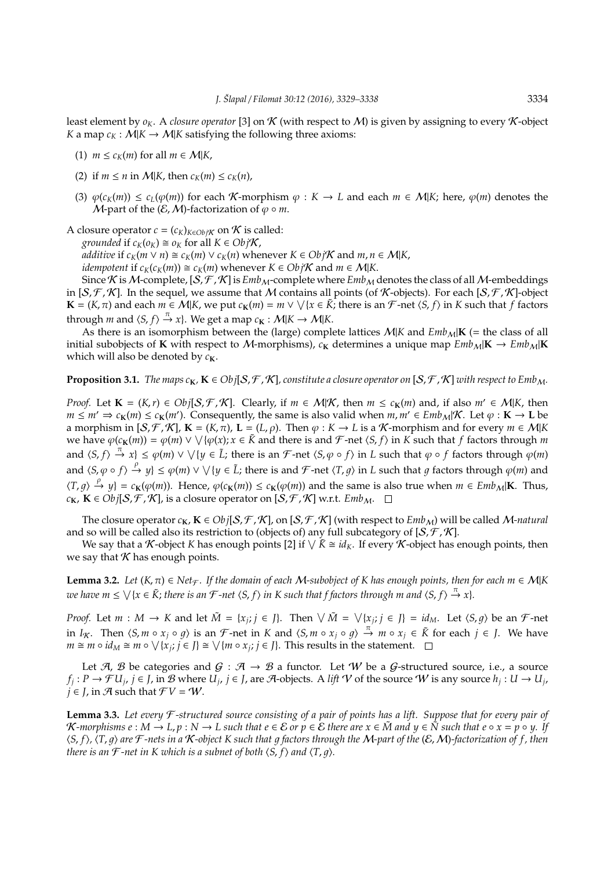least element by  $\rho_K$ . A *closure operator* [3] on K (with respect to M) is given by assigning to every K-object *K* a map  $c_K : M \to M \to K$  satisfying the following three axioms:

- (1)  $m \leq c_K(m)$  for all  $m \in M|K$ ,
- (2) if  $m \le n$  in  $M|K$ , then  $c_K(m) \le c_K(n)$ ,
- (3)  $\varphi(c_K(m)) \leq c_L(\varphi(m))$  for each K-morphism  $\varphi : K \to L$  and each  $m \in M|K$ ; here,  $\varphi(m)$  denotes the *M*-part of the  $(E, M)$ -factorization of  $\varphi \circ m$ .
- A closure operator  $c = (c_K)_{K \in Ob \text{if } K}$  on  $K$  is called:

*grounded* if  $c_K(o_K) \cong o_K$  for all  $K \in Ob \, j\mathcal{K}$ ,

*additive* if  $c_K(m \vee n) \cong c_K(m) \vee c_K(n)$  whenever  $K \in Ob \nvert K$  and  $m, n \in M \mid K$ ,

*idempotent* if  $c_K(c_K(m)) \cong c_K(m)$  whenever  $K \in Ob_j K$  and  $m \in M|K$ .

Since K is M-complete,  $[S, \mathcal{F}, \mathcal{K}]$  is  $Emb_M$ -complete where  $Emb_M$  denotes the class of all M-embeddings in  $[S, \mathcal{F}, \mathcal{K}]$ . In the sequel, we assume that M contains all points (of K-objects). For each  $[S, \mathcal{F}, \mathcal{K}]$ -object  $\mathbf{K} = (K, \pi)$  and each  $m \in \mathcal{M}|K$ , we put  $c_{\mathbf{K}}(m) = m \vee \vee \{x \in \tilde{K}\}$ ; there is an  $\mathcal{F}$ -net  $\langle S, f \rangle$  in  $K$  such that  $f$  factors through *m* and  $\langle S, f \rangle \stackrel{\pi}{\rightarrow} x$ . We get a map  $c_{\mathbf{K}} : \mathcal{M}|K \rightarrow \mathcal{M}|K$ .

As there is an isomorphism between the (large) complete lattices  $M|K$  and  $Emb_M|K$  (= the class of all initial subobjects of **K** with respect to M-morphisms),  $c_K$  determines a unique map  $Emb_M|K \to Emb_M|K$ which will also be denoted by  $c_K$ .

**Proposition 3.1.** *The maps*  $c_K$ ,  $K \in Obj[S, \mathcal{F}, \mathcal{K}]$ *, constitute a closure operator on*  $[S, \mathcal{F}, \mathcal{K}]$  *with respect to Emb*<sub>M</sub>.

*Proof.* Let  $\mathbf{K} = (K, r) \in Obj[\mathcal{S}, \mathcal{F}, \mathcal{K}]$ . Clearly, if  $m \in M|\mathcal{K}$ , then  $m \leq c_K(m)$  and, if also  $m' \in M|\mathcal{K}$ , then *m* ≤ *m'* ⇒  $c_K(m)$  ≤  $c_K(m')$ . Consequently, the same is also valid when  $m, m' \in Emb_M/K$ . Let  $\varphi : K \to L$  be a morphism in  $[S, \mathcal{F}, \mathcal{K}]$ ,  $\mathbf{K} = (K, \pi)$ ,  $\mathbf{L} = (L, \rho)$ . Then  $\varphi : K \to L$  is a *K*-morphism and for every  $m \in M|K$ we have  $\varphi(c_K(m)) = \varphi(m) \vee \vee (\varphi(x); x \in \tilde{K}$  and there is and  $\mathcal{F}$ -net  $\langle S, f \rangle$  in  $K$  such that  $f$  factors through  $m$ and  $\langle S, f \rangle \stackrel{\pi}{\to} x$   $\leq \varphi(m) \vee \bigvee \{y \in \tilde{L}; \text{ there is an } \mathcal{F}\text{-net } \langle S, \varphi \circ f \rangle \text{ in } L \text{ such that } \varphi \circ f \text{ factors through } \varphi(m)$ and  $\langle S, \varphi \circ f \rangle \stackrel{\rho}{\to} y$ }  $\leq \varphi(m) \vee \vee \{y \in \tilde{L} \}$ ; there is and  $\mathcal{F}$ -net  $\langle T, g \rangle$  in *L* such that  $g$  factors through  $\varphi(m)$  and  $\langle T, g \rangle \stackrel{\rho}{\to} y$  =  $c_{\mathbf{K}}(\varphi(m))$ . Hence,  $\varphi(c_{\mathbf{K}}(m)) \leq c_{\mathbf{K}}(\varphi(m))$  and the same is also true when  $m \in Emb_{\mathcal{M}}|\mathbf{K}$ . Thus, *c***K**, **K** ∈ *Obj*[*S*, *F*, *K*], is a closure operator on [*S*, *F*, *K*] w.r.t. *Emb*<sub>M</sub>. □

The closure operator  $c_K$ ,  $K \in Obj[S, \mathcal{F}, \mathcal{K}]$ , on  $[S, \mathcal{F}, \mathcal{K}]$  (with respect to  $Emb_M$ ) will be called *M*-natural and so will be called also its restriction to (objects of) any full subcategory of  $[S, \mathcal{F}, \mathcal{K}]$ .

We say that a K-object K has enough points [2] if  $\vee \tilde{K} \cong id_K$ . If every K-object has enough points, then we say that  $K$  has enough points.

**Lemma 3.2.** *Let*  $(K, \pi) \in \text{Net}_{\mathcal{F}}$ *. If the domain of each M*-subobject of K has enough points, then for each  $m \in \mathcal{M}|K$  $\forall x$  *k* are  $m \leq \forall \{x \in \tilde{K}; \text{there is an $\mathcal{F}$-net $\langle S,f\rangle$ in $K$ such that $f$ factors through $m$ and $\langle S,f\rangle$ and $\mathcal{F}$}\}.$ 

*Proof.* Let  $m : M \to K$  and let  $\tilde{M} = \{x_j; j \in J\}$ . Then  $\forall \tilde{M} = \forall \{x_j; j \in J\} = id_M$ . Let  $\langle S, g \rangle$  be an F-net in *I*<sub>K</sub>. Then  $\langle S, m \circ x_j \circ g \rangle$  is an F-net in *K* and  $\langle S, m \circ x_j \circ g \rangle \stackrel{\pi}{\to} m \circ x_j \in \tilde{K}$  for each  $j \in J$ . We have  $m \cong m \circ id_M \cong m \circ \bigvee \{x_j; j \in J\} \cong \bigvee \{m \circ x_j; j \in J\}$ . This results in the statement.

Let A, B be categories and  $G : A \rightarrow B$  a functor. Let W be a G-structured source, i.e., a source  $f_j:P\to \mathcal{F}U_j$ ,  $j\in J$ , in  $\mathcal B$  where  $U_j$ ,  $j\in J$ , are A-objects. A lift  $\mathcal V$  of the source  $\mathcal W$  is any source  $h_j:U\to U_j$ , *j* ∈ *J*, in  $\mathcal{A}$  such that  $\mathcal{F}V = \mathcal{W}$ .

**Lemma 3.3.** *Let every* F *-structured source consisting of a pair of points has a lift. Suppose that for every pair of* K-morphisms  $e : M \to L$ ,  $p : N \to L$  such that  $e \in \mathcal{E}$  or  $p \in \mathcal{E}$  there are  $x \in \tilde{M}$  and  $y \in \tilde{N}$  such that  $e \circ x = p \circ y$ . If h*S*, *f*i*,* h*T*, 1i *are* F *-nets in a* K*-object K such that* 1 *factors through the* M*-part of the* (E,M)*-factorization of f , then there is an*  $\mathcal{F}$ *-net in K which is a subnet of both*  $\langle S, f \rangle$  *and*  $\langle T, q \rangle$ *.*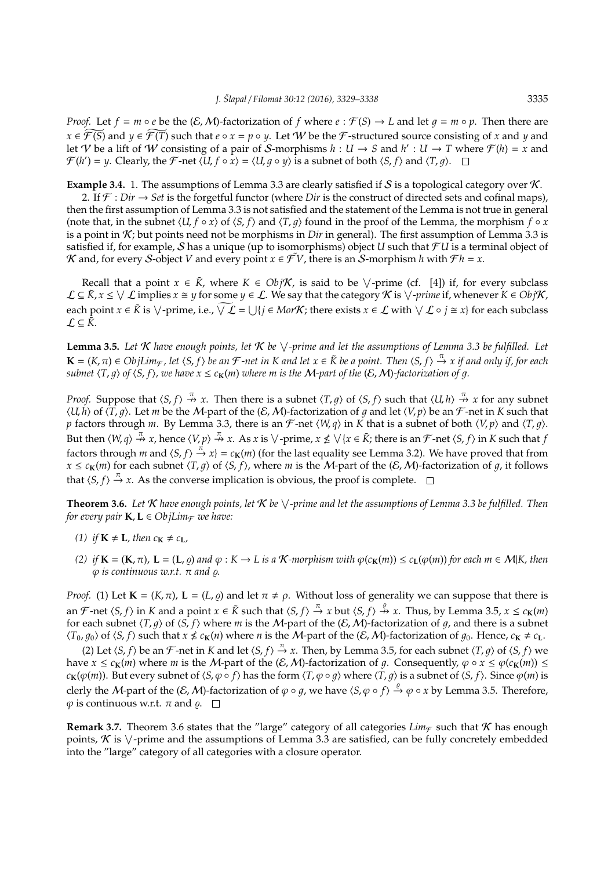*Proof.* Let  $f = m \circ e$  be the  $(E, M)$ -factorization of f where  $e : F(S) \to L$  and let  $q = m \circ p$ . Then there are  $x \in \widetilde{\mathcal{F}(S)}$  and  $y \in \widetilde{\mathcal{F}(T)}$  such that  $e \circ x = p \circ y$ . Let *W* be the *F*-structured source consisting of *x* and *y* and let V be a lift of W consisting of a pair of S-morphisms  $h: U \to S$  and  $h': U \to T$  where  $\mathcal{F}(h) = x$  and  $\mathcal{F}(h') = y$ . Clearly, the  $\mathcal{F}$ -net  $\langle U, f \circ x \rangle = \langle U, g \circ y \rangle$  is a subnet of both  $\langle S, f \rangle$  and  $\langle T, g \rangle$ .

**Example 3.4.** 1. The assumptions of Lemma 3.3 are clearly satisfied if S is a topological category over K.

2. If  $\mathcal{F}:$  *Dir*  $\rightarrow$  *Set* is the forgetful functor (where *Dir* is the construct of directed sets and cofinal maps), then the first assumption of Lemma 3.3 is not satisfied and the statement of the Lemma is not true in general (note that, in the subnet  $\langle U, f \circ x \rangle$  of  $\langle S, f \rangle$  and  $\langle T, q \rangle$  found in the proof of the Lemma, the morphism  $f \circ x$ is a point in K; but points need not be morphisms in *Dir* in general). The first assumption of Lemma 3.3 is satisfied if, for example, S has a unique (up to isomorphisms) object *U* such that  $\mathcal{F}U$  is a terminal object of *K* and, for every *S*-object *V* and every point  $x \in \tilde{\mathcal{F}}V$ , there is an *S*-morphism *h* with  $\mathcal{F}h = x$ .

Recall that a point  $x \in \tilde{K}$ , where  $K \in Obj\mathcal{K}$ , is said to be  $\vee$ -prime (cf. [4]) if, for every subclass  $\mathcal{L} \subseteq \tilde{K}$ ,  $x \leq \sqrt{\mathcal{L}}$  implies  $x \cong y$  for some  $y \in \mathcal{L}$ . We say that the category  $\mathcal{K}$  is  $\sqrt{\textit{}}$ *-prime* if, whenever  $K \in Obj\mathcal{K}$ , each point  $x \in \tilde{K}$  is  $\vee$ -prime, i.e.,  $\sqrt{L} = \bigcup \{ j \in Mor\mathcal{K} \}$ ; there exists  $x \in \mathcal{L}$  with  $\vee \mathcal{L} \circ j \cong x \}$  for each subclass  $L ⊆ \tilde{K}$ .

Lemma 3.5. Let *K* have enough points, let *K* be  $\vee$ -prime and let the assumptions of Lemma 3.3 be fulfilled. Let  $\mathbf{K} = (K, \pi) \in ObjLim_{\mathcal{F}}$ , let  $\langle S, f \rangle$  be an  $\mathcal{F}$ -net in K and let  $x \in \tilde{K}$  be a point. Then  $\langle S, f \rangle \stackrel{\pi}{\to} x$  if and only if, for each *subnet*  $\langle T, q \rangle$  *of*  $\langle S, f \rangle$ *, we have*  $x \leq c_K(m)$  *where m is the M*-*part of the*  $(E, M)$ *-factorization of q.* 

*Proof.* Suppose that  $\langle S, f \rangle \stackrel{\pi}{\nrightarrow} x$ . Then there is a subnet  $\langle T, g \rangle$  of  $\langle S, f \rangle$  such that  $\langle U, h \rangle \stackrel{\pi}{\nrightarrow} x$  for any subnet  $\langle U, h \rangle$  of  $\langle T, g \rangle$ . Let *m* be the M-part of the  $(E, M)$ -factorization of *g* and let  $\langle V, p \rangle$  be an *F*-net in *K* such that *p* factors through *m*. By Lemma 3.3, there is an  $\mathcal{F}$ -net  $\langle W, q \rangle$  in *K* that is a subnet of both  $\langle V, p \rangle$  and  $\langle T, g \rangle$ . But then  $\langle W, q \rangle \stackrel{\pi}{\nrightarrow} x$ , hence  $\langle V, p \rangle \stackrel{\pi}{\nrightarrow} x$ . As *x* is  $\vee$ -prime,  $x \nleq \vee \{x \in \tilde{K}\}\$ ; there is an  $\mathcal{F}$ -net  $\langle S, f \rangle$  in  $K$  such that *f* factors through *m* and  $\langle S, f \rangle \stackrel{\pi}{\to} x$  =  $c_{K}(m)$  (for the last equality see Lemma 3.2). We have proved that from  $x \leq c_K(m)$  for each subnet  $\langle T, q \rangle$  of  $\langle S, f \rangle$ , where *m* is the M-part of the  $(\mathcal{E},M)$ -factorization of q, it follows that  $\langle S, f \rangle \stackrel{\pi}{\rightarrow} x$ . As the converse implication is obvious, the proof is complete.

**Theorem 3.6.** *Let* K *have enough points, let* K *be* W *-prime and let the assumptions of Lemma 3.3 be fulfilled. Then for every pair*  $K, L \in ObjLim_{\mathcal{F}}$  *we have:* 

- *(1) if*  $\mathbf{K} \neq \mathbf{L}$ *, then*  $c_{\mathbf{K}} \neq c_{\mathbf{L}}$ *,*
- (2) if  $\mathbf{K} = (\mathbf{K}, \pi)$ ,  $\mathbf{L} = (\mathbf{L}, \rho)$  and  $\varphi : K \to L$  is a K-morphism with  $\varphi(c_{\mathbf{K}}(m)) \leq c_{\mathbf{L}}(\varphi(m))$  for each  $m \in \mathcal{M}|K$ , then  $\varphi$  *is continuous w.r.t.*  $\pi$  *and*  $\varphi$ *.*

*Proof.* (1) Let  $\mathbf{K} = (K, \pi)$ ,  $\mathbf{L} = (L, \rho)$  and let  $\pi \neq \rho$ . Without loss of generality we can suppose that there is an  $\mathcal{F}$ -net  $\langle S, f \rangle$  in  $K$  and a point  $x \in \tilde{K}$  such that  $\langle S, f \rangle \stackrel{\pi}{\to} x$  but  $\langle S, f \rangle \stackrel{\varrho}{\to} x$ . Thus, by Lemma 3.5,  $x \leq c_K(m)$ for each subnet  $\langle T, g \rangle$  of  $\langle S, f \rangle$  where *m* is the M-part of the  $(E, M)$ -factorization of g, and there is a subnet  $\langle T_0, g_0 \rangle$  of  $\langle S, f \rangle$  such that  $x \nleq c_K(n)$  where *n* is the M-part of the  $(\mathcal{E}, \mathcal{M})$ -factorization of  $g_0$ . Hence,  $c_K \neq c_L$ .

(2) Let  $\langle S, f \rangle$  be an F-net in *K* and let  $\langle S, f \rangle \stackrel{\pi}{\to} x$ . Then, by Lemma 3.5, for each subnet  $\langle T, g \rangle$  of  $\langle S, f \rangle$  we have  $x \leq c_K(m)$  where *m* is the *M*-part of the  $(E, M)$ -factorization of q. Consequently,  $\varphi \circ x \leq \varphi(c_K(m)) \leq$ *c***K**( $\varphi$ (*m*)). But every subnet of  $\langle S, \varphi \circ f \rangle$  has the form  $\langle T, \varphi \circ g \rangle$  where  $\langle T, g \rangle$  is a subnet of  $\langle S, f \rangle$ . Since  $\varphi$ (*m*) is clerly the *M*-part of the  $(E, M)$ -factorization of  $\varphi \circ g$ , we have  $\langle S, \varphi \circ f \rangle \stackrel{\varrho}{\to} \varphi \circ x$  by Lemma 3.5. Therefore,  $\varphi$  is continuous w.r.t.  $\pi$  and  $\rho$ .  $\Box$ 

**Remark 3.7.** Theorem 3.6 states that the "large" category of all categories  $Lim_{\mathcal{F}}$  such that K has enough points,  $K$  is  $\vee$ -prime and the assumptions of Lemma 3.3 are satisfied, can be fully concretely embedded into the "large" category of all categories with a closure operator.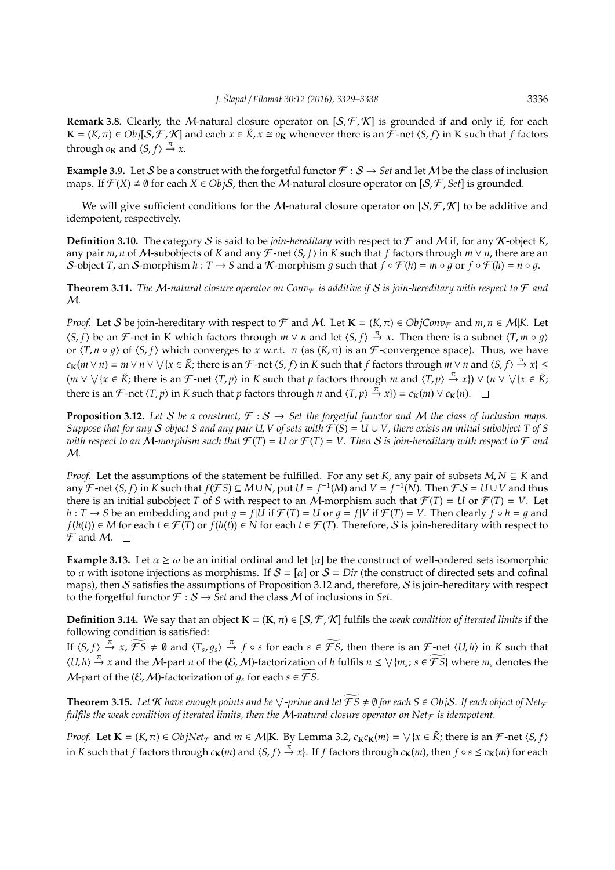**Remark 3.8.** Clearly, the M-natural closure operator on  $[S, \mathcal{F}, \mathcal{K}]$  is grounded if and only if, for each **K** = (*K*, π) ∈ *Obj*[*S*,  $\mathcal{F}$ ,  $\mathcal{K}$ ] and each  $x \in \tilde{K}$ ,  $x \cong o_K$  whenever there is an  $\tilde{\mathcal{F}}$ -net  $\langle S, f \rangle$  in K such that *f* factors through  $o_K$  and  $\langle S, f \rangle \stackrel{\pi}{\rightarrow} x$ .

**Example 3.9.** Let S be a construct with the forgetful functor  $\mathcal{F}: S \to Set$  and let M be the class of inclusion maps. If  $\mathcal{F}(X) \neq \emptyset$  for each  $X \in Obj\mathcal{S}$ , then the *M*-natural closure operator on  $[\mathcal{S}, \mathcal{F}, \mathcal{S}et]$  is grounded.

We will give sufficient conditions for the M-natural closure operator on  $[S, \mathcal{F}, \mathcal{K}]$  to be additive and idempotent, respectively.

**Definition 3.10.** The category S is said to be *join-hereditary* with respect to  $\mathcal F$  and M if, for any K-object K, any pair *m*, *n* of *M*-subobjects of *K* and any  $\mathcal{F}$ -net  $\langle S, f \rangle$  in *K* such that *f* factors through *m*  $\vee$  *n*, there are an S-object *T*, an S-morphism  $h: T \to S$  and a K-morphism g such that  $\dot{f} \circ \mathcal{F}(h) = m \circ \dot{g}$  or  $f \circ \mathcal{F}(h) = n \circ g$ .

**Theorem 3.11.** *The M-natural closure operator on Conv* $\tau$  *is additive if* S *is join-hereditary with respect to*  $\mathcal F$  *and* M*.*

*Proof.* Let S be join-hereditary with respect to F and M. Let  $\mathbf{K} = (K, \pi) \in ObjConv_{\mathcal{F}}$  and  $m, n \in M|K$ . Let  $\langle S, f \rangle$  be an F-net in K which factors through  $m \vee n$  and let  $\langle S, f \rangle \stackrel{\pi}{\to} x$ . Then there is a subnet  $\langle T, m \circ g \rangle$ or  $\langle T, n \circ q \rangle$  of  $\langle S, f \rangle$  which converges to *x* w.r.t.  $\pi$  (as  $(K, \pi)$  is an F-convergence space). Thus, we have  $c_{\mathbf{K}}(m \vee n) = m \vee n \vee \vee \{x \in \tilde{K};$  there is an  $\mathcal{F}$ -net  $\langle S, f \rangle$  in  $K$  such that  $f$  factors through  $m \vee n$  and  $\langle S, f \rangle \stackrel{\pi}{\to} x\} \le$  $(m \vee \vee \{x \in \tilde{K}; \text{there is an }\mathcal{F}\text{-net } \langle T, p \rangle \text{ in } K \text{ such that } p \text{ factors through } m \text{ and } \langle T, p \rangle \stackrel{\pi}{\to} x\}) \vee (n \vee \vee \{x \in \tilde{K}; \text{there is an }\mathcal{F}\text{-net } \langle T, p \rangle \text{ in } K \text{ such that } p \text{ factors through } m \text{ and } \langle T, p \rangle \stackrel{\pi}{\to} x\})$ there is an  $\mathcal{F}$ -net  $\langle T, p \rangle$  in  $K$  such that  $p$  factors through  $n$  and  $\langle T, p \rangle \stackrel{\bar{\pi}}{\rightarrow} x$ }) =  $c_K(m) \vee c_K(n)$ .

**Proposition 3.12.** Let S be a construct,  $\mathcal{F}: S \to Set$  the forgetful functor and M the class of inclusion maps. *Suppose that for any S-object S and any pair U, V of sets with*  $\mathcal{F}(S) = U \cup V$ , there exists an initial subobject T of S *with respect to an M*-morphism such that  $\mathcal{F}(T) = U$  or  $\mathcal{F}(T) = V$ . Then *S* is join-hereditary with respect to  $\mathcal F$  and M*.*

*Proof.* Let the assumptions of the statement be fulfilled. For any set *K*, any pair of subsets *M*, *N* ⊆ *K* and any  $\mathcal{F}$ -net  $\langle S, f \rangle$  in  $K$  such that  $f(\mathcal{F}S) \subseteq M \cup N$ , put  $U = f^{-1}(M)$  and  $V = f^{-1}(N)$ . Then  $\mathcal{F}S = U \cup V$  and thus there is an initial subobject *T* of *S* with respect to an *M*-morphism such that  $\mathcal{F}(T) = U$  or  $\mathcal{F}(T) = V$ . Let *h* : *T* → *S* be an embedding and put  $g = f|U$  if  $\mathcal{F}(T) = U$  or  $g = f|V$  if  $\mathcal{F}(T) = V$ . Then clearly  $f ∘ h = g$  and *f*(*h*(*t*)) ∈ *M* for each *t* ∈  $\mathcal{F}(T)$  or  $f(h(t)) \in N$  for each  $t \in \mathcal{F}(T)$ . Therefore, S is join-hereditary with respect to  $\mathcal{F}$  and M.  $\Box$ 

**Example 3.13.** Let  $\alpha \geq \omega$  be an initial ordinal and let  $[\alpha]$  be the construct of well-ordered sets isomorphic to  $\alpha$  with isotone injections as morphisms. If  $S = [\alpha]$  or  $S = Dir$  (the construct of directed sets and cofinal maps), then S satisfies the assumptions of Proposition 3.12 and, therefore, S is join-hereditary with respect to the forgetful functor  $\mathcal{F}: \mathcal{S} \to \mathcal{S}et$  and the class M of inclusions in *Set*.

**Definition 3.14.** We say that an object  $\mathbf{K} = (\mathbf{K}, \pi) \in [S, \mathcal{F}, \mathcal{K}]$  fulfils the *weak condition of iterated limits* if the following condition is satisfied:

If  $\langle S, f \rangle \stackrel{\pi}{\to} x$ ,  $\widetilde{\mathcal{FS}} \neq \emptyset$  and  $\langle T_s, g_s \rangle \stackrel{\pi}{\to} f \circ s$  for each  $s \in \widetilde{\mathcal{FS}}$ , then there is an  $\mathcal{F}$ -net  $\langle U, h \rangle$  in *K* such that  $\langle U, h \rangle \stackrel{\pi}{\to} x$  and the M-part *n* of the  $(\mathcal{E}, \mathcal{M})$ -factorization of *h* fulfils  $n \leq \sqrt{m_s}$ ;  $s \in \widetilde{\mathcal{FS}}$  where  $m_s$  denotes the *M*-part of the  $(E, M)$ -factorization of  $q_s$  for each  $s \in \widetilde{\mathcal{FS}}$ .

**Theorem 3.15.** Let  $K$  have enough points and be  $\vee$ -prime and let  $\widehat{FS} \neq \emptyset$  for each  $S \in ObjS$ . If each object of Net<sub>f</sub> *fulfils the weak condition of iterated limits, then the M-natural closure operator on Net* $\overline{F}$  *is idempotent.* 

*Proof.* Let  $\mathbf{K} = (K, \pi) \in ObjNet_{\mathcal{F}}$  and  $m \in M|\mathbf{K}$ . By Lemma 3.2,  $c_{\mathbf{K}}c_{\mathbf{K}}(m) = \sqrt{\{x \in \tilde{K}\}}$ ; there is an  $\mathcal{F}$ -net  $\langle S, f \rangle$ in K such that f factors through  $c_K(m)$  and  $\langle S, f \rangle \stackrel{\pi}{\to} x$ }. If f factors through  $c_K(m)$ , then  $f \circ s \leq c_K(m)$  for each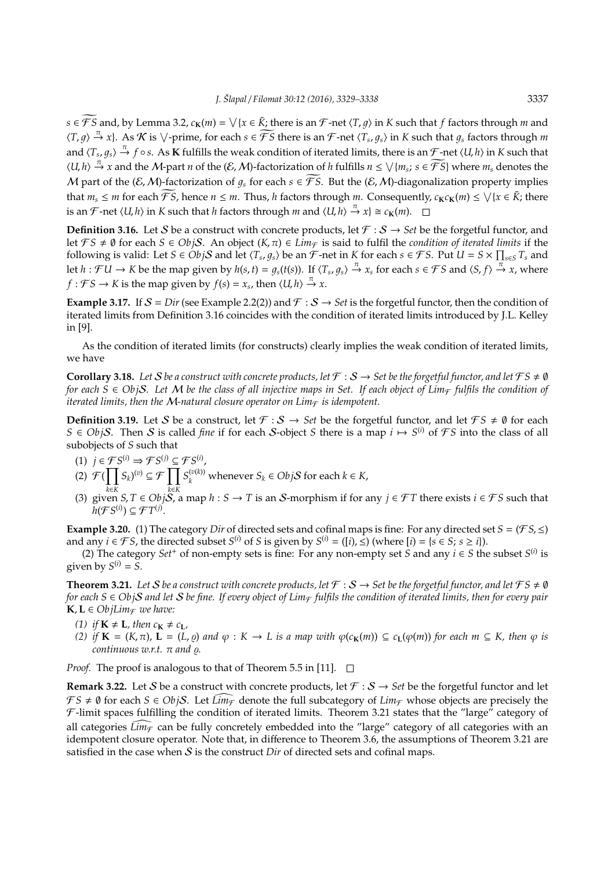$s \in \mathcal{FS}$  and, by Lemma 3.2,  $c_K(m) = \sqrt{x \in \tilde{K}}$ ; there is an  $\mathcal{F}$ -net  $\langle T, g \rangle$  in  $K$  such that  $f$  factors through  $m$  and  $\langle T, g \rangle \stackrel{\pi}{\to} x$ . As  $\mathcal K$  is  $\vee$ -prime, for each  $s \in \widetilde{\mathcal FS}$  there is an  $\mathcal F$ -net  $\langle T_s, g_s \rangle$  in  $K$  such that  $g_s$  factors through  $m$ and  $\langle T_s, g_s \rangle \stackrel{\pi}{\to} f \circ s$ . As **K** fulfills the weak condition of iterated limits, there is an  $\mathcal{F}$ -net  $\langle U, h \rangle$  in *K* such that  $\langle U, h \rangle \stackrel{\pi}{\to} x$  and the M-part *n* of the  $(\mathcal{E}, \mathcal{M})$ -factorization of *h* fulfills  $n \leq \sqrt{m_s}$ ;  $s \in \widetilde{\mathcal{FS}}$  where  $m_s$  denotes the M part of the  $(\mathcal{E},\mathcal{M})$ -factorization of  $q_s$  for each  $s \in \widetilde{\mathcal{FS}}$ . But the  $(\mathcal{E},\mathcal{M})$ -diagonalization property implies that  $m_s \le m$  for each  $\widetilde{\mathcal{FS}}$ , hence  $n \le m$ . Thus, *h* factors through  $m$ . Consequently,  $c_K c_K(m) \le \sqrt{x \in \widetilde{K}}$ ; there is an  $\mathcal{F}$ -net  $\langle U, h \rangle$  in  $K$  such that *h* factors through  $m$  and  $\langle U, h \rangle \stackrel{\pi}{\to} x$ }  $\cong c_{\mathbf{K}}(m)$ .

**Definition 3.16.** Let S be a construct with concrete products, let  $\mathcal{F}: \mathcal{S} \to \mathcal{S}et$  be the forgetful functor, and let  $FS \neq \emptyset$  for each  $S \in ObjS$ . An object  $(K, \pi) \in Lim_{\mathcal{F}}$  is said to fulfil the *condition of iterated limits* if the following is valid: Let  $S \in Ob_jS$  and let  $\langle T_s, g_s \rangle$  be an  $\mathcal{F}$ -net in  $K$  for each  $s \in \mathcal{F}S$ . Put  $U = S \times \prod_{s \in S} T_s$  and let  $h: \mathcal{F}U \to K$  be the map given by  $h(s, t) = g_s(t(s))$ . If  $\langle T_s, g_s \rangle \stackrel{\pi}{\to} x_s$  for each  $s \in \mathcal{F}S$  and  $\langle S, f \rangle \stackrel{\pi}{\to} x$ , where *f* :  $\mathcal{F}S \to K$  is the map given by  $f(s) = x_s$ , then  $\langle U, h \rangle \stackrel{\pi}{\to} x$ .

**Example 3.17.** If  $S = Dir$  (see Example 2.2(2)) and  $\mathcal{F}: S \to Set$  is the forgetful functor, then the condition of iterated limits from Definition 3.16 coincides with the condition of iterated limits introduced by J.L. Kelley in [9].

As the condition of iterated limits (for constructs) clearly implies the weak condition of iterated limits, we have

**Corollary 3.18.** Let S be a construct with concrete products, let  $\mathcal{F}: S \to \mathcal{S}$  be the forgetful functor, and let  $\mathcal{F}S \neq \emptyset$ *for each*  $S \in ObjS$ . Let M be the class of all injective maps in Set. If each object of Lim<sub>F</sub> fulfils the condition of *iterated limits, then the M-natural closure operator on Lim* $\epsilon$  *is idempotent.* 

**Definition 3.19.** Let S be a construct, let  $\mathcal{F}: S \to Set$  be the forgetful functor, and let  $\mathcal{F}S \neq \emptyset$  for each *S* ∈ *ObjS*. Then *S* is called *fine* if for each *S*-object *S* there is a map  $i \mapsto S^{(i)}$  of *FS* into the class of all subobjects of *S* such that

- (1)  $j \in \mathcal{F}S^{(i)} \Rightarrow \mathcal{F}S^{(j)} \subseteq \mathcal{F}S^{(i)}$ ,
- (2)  $\mathcal{F}(\prod$ *k*∈*K*  $(S_k)^{(v)} \subseteq \mathcal{F}$   $\prod$ *k*∈*K*  $S_k^{(v(k))}$  whenever  $S_k \in Obj\mathcal{S}$  for each  $k \in K$ ,
- (3) given *S*, *T* ∈ *ObjS*, a map *h* : *S* → *T* is an *S*-morphism if for any  $j \in \mathcal{F}$ T there exists  $i \in \mathcal{F}$ S such that  $\widetilde{h}(\mathcal{F}S^{(i)}) \subseteq \mathcal{F}T^{(j)}.$

**Example 3.20.** (1) The category *Dir* of directed sets and cofinal maps is fine: For any directed set  $S = (\mathcal{F}S, \leq)$ and any  $i \in \mathcal{FS}$ , the directed subset  $S^{(i)}$  of *S* is given by  $S^{(i)} = (\lbrack i \rbrack, \leq)$  (where  $\lbrack i \rbrack = \{s \in S; s \geq i\}$ ).

(2) The category  $Set^+$  of non-empty sets is fine: For any non-empty set *S* and any  $i \in S$  the subset  $S^{(i)}$  is given by  $S^{(i)} = S$ .

**Theorem 3.21.** Let S be a construct with concrete products, let  $\mathcal{F}: S \to \mathcal{S}$ et be the forgetful functor, and let  $\mathcal{F}S \neq \emptyset$ *for each*  $S \in Ob$ *jS* and let S be fine. If every object of Lim<sub>F</sub> fulfils the condition of iterated limits, then for every pair  $\mathbf{K}, \mathbf{L} \in \text{ObjLim}_{\mathcal{F}}$  *we have:* 

- *(1) if*  $K \neq L$ *, then*  $c_K \neq c_L$ *,*
- *(2)* if  $\mathbf{K} = (K, \pi)$ ,  $\mathbf{L} = (L, \rho)$  and  $\varphi : K \to L$  is a map with  $\varphi(c_{\mathbf{K}}(m)) \subseteq c_{\mathbf{L}}(\varphi(m))$  for each  $m \subseteq K$ , then  $\varphi$  is *continuous w.r.t.* π *and*  $ρ$ .

*Proof.* The proof is analogous to that of Theorem 5.5 in [11].  $\Box$ 

**Remark 3.22.** Let S be a construct with concrete products, let  $\mathcal{F}: S \to Set$  be the forgetful functor and let  $FS \neq \emptyset$  for each  $S \in ObjS$ . Let  $Lim_{\mathcal{F}}$  denote the full subcategory of  $Lim_{\mathcal{F}}$  whose objects are precisely the  $\mathcal F$ -limit spaces fulfilling the condition of iterated limits. Theorem 3.21 states that the "large" category of all categories  $\overline{\lim_{\mathcal{F}}}$  can be fully concretely embedded into the "large" category of all categories with an idempotent closure operator. Note that, in difference to Theorem 3.6, the assumptions of Theorem 3.21 are satisfied in the case when  $S$  is the construct *Dir* of directed sets and cofinal maps.